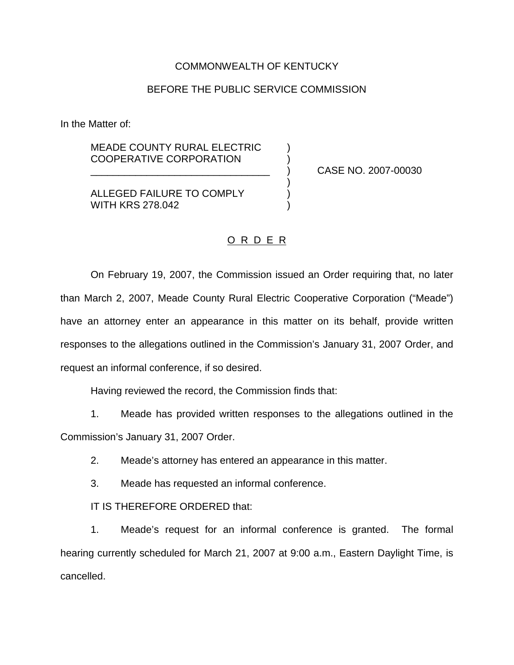## COMMONWEALTH OF KENTUCKY

## BEFORE THE PUBLIC SERVICE COMMISSION

In the Matter of:

MEADE COUNTY RURAL ELECTRIC COOPERATIVE CORPORATION

\_\_\_\_\_\_\_\_\_\_\_\_\_\_\_\_\_\_\_\_\_\_\_\_\_\_\_\_\_\_\_\_ ) CASE NO. 2007-00030

ALLEGED FAILURE TO COMPLY  $)$ WITH KRS 278.042

## O R D E R

)

On February 19, 2007, the Commission issued an Order requiring that, no later than March 2, 2007, Meade County Rural Electric Cooperative Corporation ("Meade") have an attorney enter an appearance in this matter on its behalf, provide written responses to the allegations outlined in the Commission's January 31, 2007 Order, and request an informal conference, if so desired.

Having reviewed the record, the Commission finds that:

1. Meade has provided written responses to the allegations outlined in the Commission's January 31, 2007 Order.

2. Meade's attorney has entered an appearance in this matter.

3. Meade has requested an informal conference.

IT IS THEREFORE ORDERED that:

1. Meade's request for an informal conference is granted. The formal hearing currently scheduled for March 21, 2007 at 9:00 a.m., Eastern Daylight Time, is cancelled.